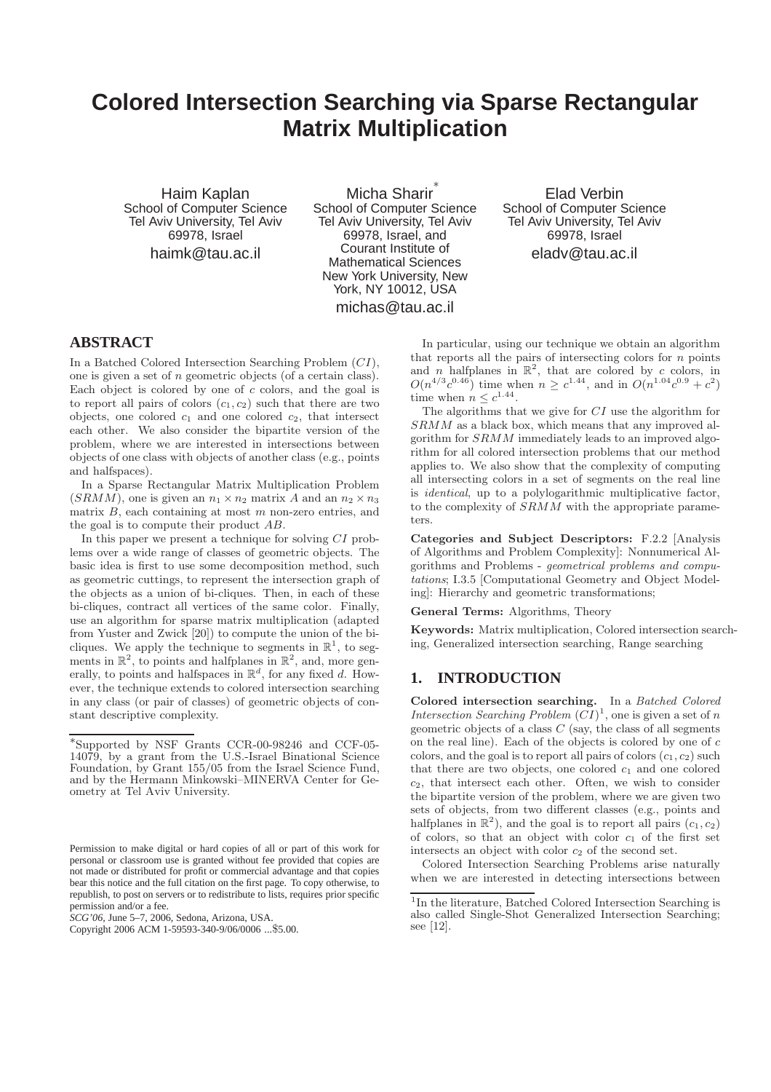# **Colored Intersection Searching via Sparse Rectangular Matrix Multiplication**

Haim Kaplan School of Computer Science Tel Aviv University, Tel Aviv 69978, Israel

haimk@tau.ac.il

Micha Sharir ∗ School of Computer Science Tel Aviv University, Tel Aviv 69978, Israel, and Courant Institute of Mathematical Sciences New York University, New York, NY 10012, USA michas@tau.ac.il

Elad Verbin School of Computer Science Tel Aviv University, Tel Aviv 69978, Israel eladv@tau.ac.il

# **ABSTRACT**

In a Batched Colored Intersection Searching Problem (CI), one is given a set of n geometric objects (of a certain class). Each object is colored by one of c colors, and the goal is to report all pairs of colors  $(c_1, c_2)$  such that there are two objects, one colored  $c_1$  and one colored  $c_2$ , that intersect each other. We also consider the bipartite version of the problem, where we are interested in intersections between objects of one class with objects of another class (e.g., points and halfspaces).

In a Sparse Rectangular Matrix Multiplication Problem  $(SRMM)$ , one is given an  $n_1 \times n_2$  matrix A and an  $n_2 \times n_3$ matrix  $B$ , each containing at most  $m$  non-zero entries, and the goal is to compute their product AB.

In this paper we present a technique for solving CI problems over a wide range of classes of geometric objects. The basic idea is first to use some decomposition method, such as geometric cuttings, to represent the intersection graph of the objects as a union of bi-cliques. Then, in each of these bi-cliques, contract all vertices of the same color. Finally, use an algorithm for sparse matrix multiplication (adapted from Yuster and Zwick [20]) to compute the union of the bicliques. We apply the technique to segments in  $\mathbb{R}^1$ , to segments in  $\mathbb{R}^2$ , to points and halfplanes in  $\mathbb{R}^2$ , and, more generally, to points and halfspaces in  $\mathbb{R}^d$ , for any fixed d. However, the technique extends to colored intersection searching in any class (or pair of classes) of geometric objects of constant descriptive complexity.

*SCG'06,* June 5–7, 2006, Sedona, Arizona, USA.

In particular, using our technique we obtain an algorithm that reports all the pairs of intersecting colors for  $n$  points and *n* halfplanes in  $\mathbb{R}^2$ , that are colored by *c* colors, in  $O(n^{4/3}c^{0.46})$  time when  $n \geq c^{1.44}$ , and in  $O(n^{1.04}c^{0.9} + c^2)$ time when  $n \leq c^{1.44}$ .

The algorithms that we give for CI use the algorithm for SRMM as a black box, which means that any improved algorithm for SRMM immediately leads to an improved algorithm for all colored intersection problems that our method applies to. We also show that the complexity of computing all intersecting colors in a set of segments on the real line is identical, up to a polylogarithmic multiplicative factor, to the complexity of SRMM with the appropriate parameters.

Categories and Subject Descriptors: F.2.2 [Analysis of Algorithms and Problem Complexity]: Nonnumerical Algorithms and Problems - geometrical problems and computations; I.3.5 [Computational Geometry and Object Modeling]: Hierarchy and geometric transformations;

General Terms: Algorithms, Theory

Keywords: Matrix multiplication, Colored intersection searching, Generalized intersection searching, Range searching

# **1. INTRODUCTION**

Colored intersection searching. In a Batched Colored Intersection Searching Problem  $(CI)^1$ , one is given a set of n geometric objects of a class  $C$  (say, the class of all segments on the real line). Each of the objects is colored by one of  $c$ colors, and the goal is to report all pairs of colors  $(c_1, c_2)$  such that there are two objects, one colored  $c_1$  and one colored  $c_2$ , that intersect each other. Often, we wish to consider the bipartite version of the problem, where we are given two sets of objects, from two different classes (e.g., points and halfplanes in  $\mathbb{R}^2$ ), and the goal is to report all pairs  $(c_1, c_2)$ of colors, so that an object with color  $c_1$  of the first set intersects an object with color  $c_2$  of the second set.

Colored Intersection Searching Problems arise naturally when we are interested in detecting intersections between

<sup>∗</sup> Supported by NSF Grants CCR-00-98246 and CCF-05- 14079, by a grant from the U.S.-Israel Binational Science Foundation, by Grant 155/05 from the Israel Science Fund, and by the Hermann Minkowski–MINERVA Center for Geometry at Tel Aviv University.

Permission to make digital or hard copies of all or part of this work for personal or classroom use is granted without fee provided that copies are not made or distributed for profit or commercial advantage and that copies bear this notice and the full citation on the first page. To copy otherwise, to republish, to post on servers or to redistribute to lists, requires prior specific permission and/or a fee.

Copyright 2006 ACM 1-59593-340-9/06/0006 ...\$5.00.

<sup>&</sup>lt;sup>1</sup>In the literature, Batched Colored Intersection Searching is also called Single-Shot Generalized Intersection Searching; see [12].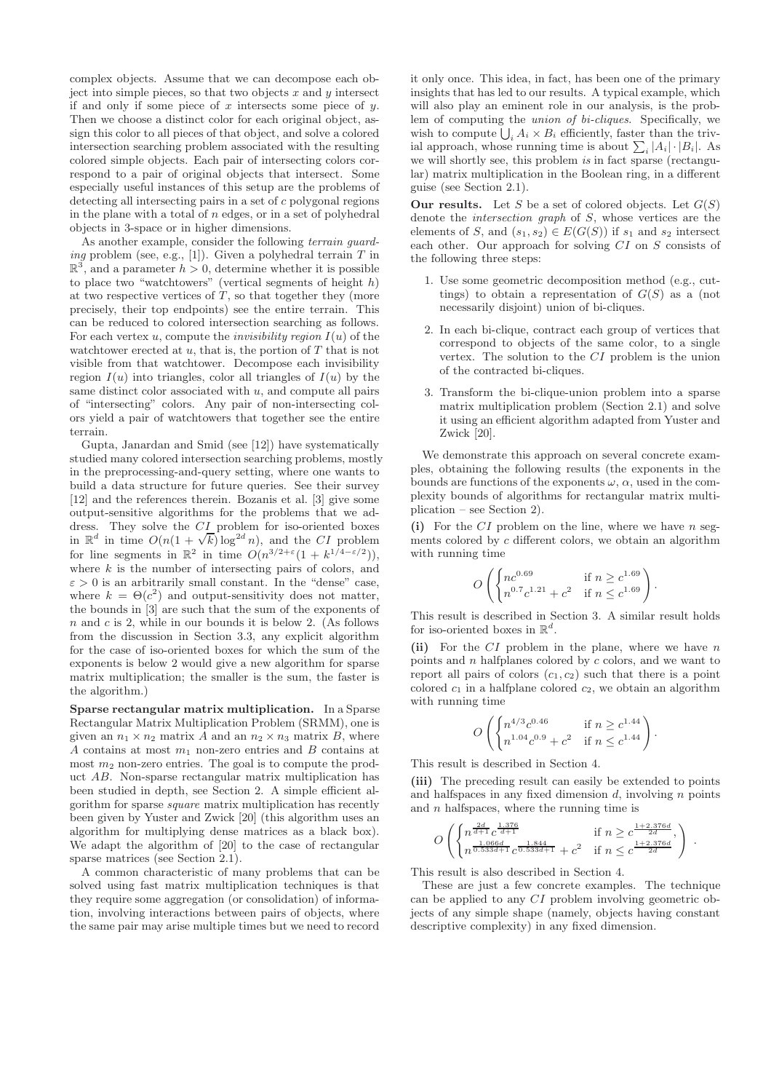complex objects. Assume that we can decompose each object into simple pieces, so that two objects  $x$  and  $y$  intersect if and only if some piece of x intersects some piece of  $y$ . Then we choose a distinct color for each original object, assign this color to all pieces of that object, and solve a colored intersection searching problem associated with the resulting colored simple objects. Each pair of intersecting colors correspond to a pair of original objects that intersect. Some especially useful instances of this setup are the problems of detecting all intersecting pairs in a set of c polygonal regions in the plane with a total of  $n$  edges, or in a set of polyhedral objects in 3-space or in higher dimensions.

As another example, consider the following *terrain quard*ing problem (see, e.g., [1]). Given a polyhedral terrain  $T$  in  $\mathbb{R}^3$ , and a parameter  $h > 0$ , determine whether it is possible to place two "watchtowers" (vertical segments of height  $h$ ) at two respective vertices of  $T$ , so that together they (more precisely, their top endpoints) see the entire terrain. This can be reduced to colored intersection searching as follows. For each vertex u, compute the *invisibility region*  $I(u)$  of the watchtower erected at  $u$ , that is, the portion of  $T$  that is not visible from that watchtower. Decompose each invisibility region  $I(u)$  into triangles, color all triangles of  $I(u)$  by the same distinct color associated with  $u$ , and compute all pairs of "intersecting" colors. Any pair of non-intersecting colors yield a pair of watchtowers that together see the entire terrain.

Gupta, Janardan and Smid (see [12]) have systematically studied many colored intersection searching problems, mostly in the preprocessing-and-query setting, where one wants to build a data structure for future queries. See their survey [12] and the references therein. Bozanis et al. [3] give some output-sensitive algorithms for the problems that we address. They solve the CI problem for iso-oriented boxes in  $\mathbb{R}^d$  in time  $O(n(1+\sqrt{k})\log^{2d} n)$ , and the CI problem for line segments in  $\mathbb{R}^2$  in time  $O(n^{3/2+\epsilon}(1+k^{1/4-\epsilon/2})),$ where  $k$  is the number of intersecting pairs of colors, and  $\varepsilon > 0$  is an arbitrarily small constant. In the "dense" case, where  $k = \Theta(c^2)$  and output-sensitivity does not matter, the bounds in [3] are such that the sum of the exponents of  $n$  and  $c$  is 2, while in our bounds it is below 2. (As follows from the discussion in Section 3.3, any explicit algorithm for the case of iso-oriented boxes for which the sum of the exponents is below 2 would give a new algorithm for sparse matrix multiplication; the smaller is the sum, the faster is the algorithm.)

Sparse rectangular matrix multiplication. In a Sparse Rectangular Matrix Multiplication Problem (SRMM), one is given an  $n_1 \times n_2$  matrix A and an  $n_2 \times n_3$  matrix B, where A contains at most  $m_1$  non-zero entries and B contains at most  $m_2$  non-zero entries. The goal is to compute the product AB. Non-sparse rectangular matrix multiplication has been studied in depth, see Section 2. A simple efficient algorithm for sparse square matrix multiplication has recently been given by Yuster and Zwick [20] (this algorithm uses an algorithm for multiplying dense matrices as a black box). We adapt the algorithm of [20] to the case of rectangular sparse matrices (see Section 2.1).

A common characteristic of many problems that can be solved using fast matrix multiplication techniques is that they require some aggregation (or consolidation) of information, involving interactions between pairs of objects, where the same pair may arise multiple times but we need to record

it only once. This idea, in fact, has been one of the primary insights that has led to our results. A typical example, which will also play an eminent role in our analysis, is the problem of computing the union of bi-cliques. Specifically, we wish to compute  $\bigcup_i A_i \times B_i$  efficiently, faster than the trivial approach, whose running time is about  $\sum_i |A_i| \cdot |B_i|$ . As we will shortly see, this problem is in fact sparse (rectangular) matrix multiplication in the Boolean ring, in a different guise (see Section 2.1).

**Our results.** Let S be a set of colored objects. Let  $G(S)$ denote the intersection graph of S, whose vertices are the elements of S, and  $(s_1, s_2) \in E(G(S))$  if  $s_1$  and  $s_2$  intersect each other. Our approach for solving CI on S consists of the following three steps:

- 1. Use some geometric decomposition method (e.g., cuttings) to obtain a representation of  $G(S)$  as a (not necessarily disjoint) union of bi-cliques.
- 2. In each bi-clique, contract each group of vertices that correspond to objects of the same color, to a single vertex. The solution to the CI problem is the union of the contracted bi-cliques.
- 3. Transform the bi-clique-union problem into a sparse matrix multiplication problem (Section 2.1) and solve it using an efficient algorithm adapted from Yuster and Zwick [20].

We demonstrate this approach on several concrete examples, obtaining the following results (the exponents in the bounds are functions of the exponents  $\omega$ ,  $\alpha$ , used in the complexity bounds of algorithms for rectangular matrix multiplication – see Section 2).

(i) For the  $CI$  problem on the line, where we have  $n$  segments colored by c different colors, we obtain an algorithm with running time

$$
O\left(\begin{cases}nc^{0.69} & \text{if } n \ge c^{1.69} \\ n^{0.7}c^{1.21} + c^2 & \text{if } n \le c^{1.69}\end{cases}\right).
$$

This result is described in Section 3. A similar result holds for iso-oriented boxes in  $\mathbb{R}^d$ .

(ii) For the  $CI$  problem in the plane, where we have n points and  $n$  halfplanes colored by  $c$  colors, and we want to report all pairs of colors  $(c_1, c_2)$  such that there is a point colored  $c_1$  in a halfplane colored  $c_2$ , we obtain an algorithm with running time

$$
O\left(\begin{cases}n^{4/3}c^{0.46} & \text{if } n \ge c^{1.44} \\ n^{1.04}c^{0.9} + c^2 & \text{if } n \le c^{1.44}\end{cases}\right).
$$

This result is described in Section 4.

(iii) The preceding result can easily be extended to points and halfspaces in any fixed dimension  $d$ , involving  $n$  points and  $n$  halfspaces, where the running time is

$$
O\left(\begin{cases}n^{\frac{2d}{d+1}}c^{\frac{1.376d}{d+1}} & \text{if } n \ge c^{\frac{1+2.376d}{2d}},\\n^{\frac{1.066d}{0.533d+1}}c^{\frac{1.844}{0.533d+1}} + c^2 & \text{if } n \le c^{\frac{1+2.376d}{2d}}\end{cases}\right) .
$$

This result is also described in Section 4.

These are just a few concrete examples. The technique can be applied to any CI problem involving geometric objects of any simple shape (namely, objects having constant descriptive complexity) in any fixed dimension.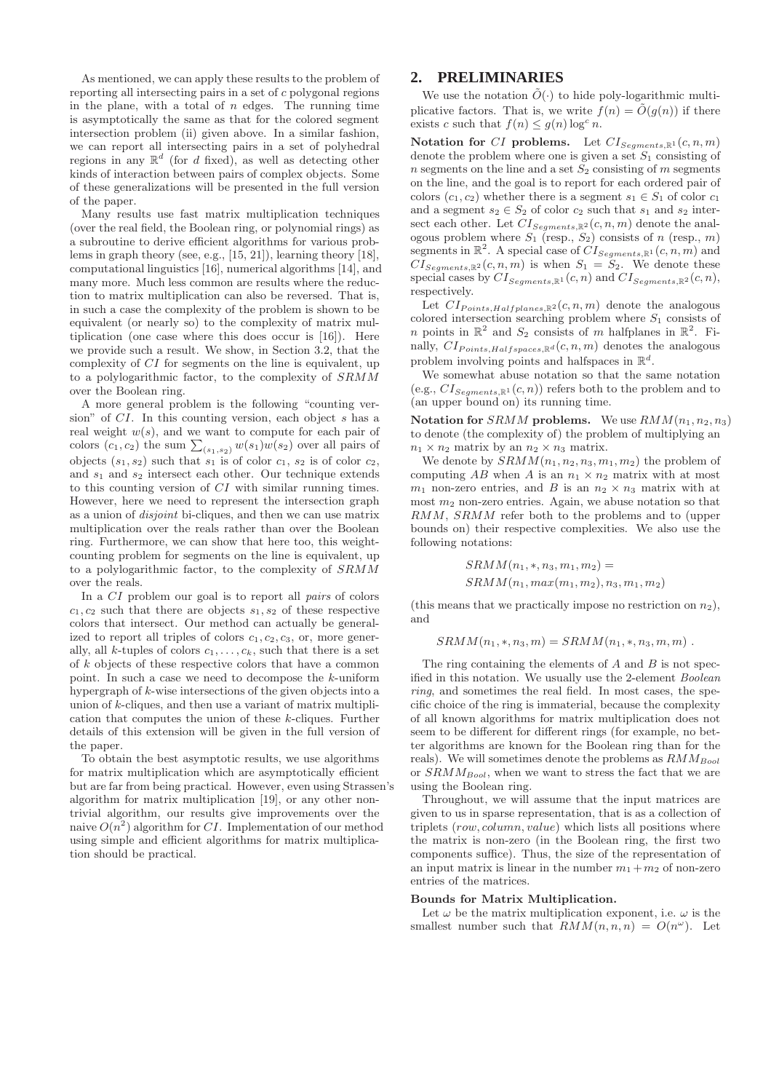As mentioned, we can apply these results to the problem of reporting all intersecting pairs in a set of c polygonal regions in the plane, with a total of  $n$  edges. The running time is asymptotically the same as that for the colored segment intersection problem (ii) given above. In a similar fashion, we can report all intersecting pairs in a set of polyhedral regions in any  $\mathbb{R}^d$  (for d fixed), as well as detecting other kinds of interaction between pairs of complex objects. Some of these generalizations will be presented in the full version of the paper.

Many results use fast matrix multiplication techniques (over the real field, the Boolean ring, or polynomial rings) as a subroutine to derive efficient algorithms for various problems in graph theory (see, e.g., [15, 21]), learning theory [18], computational linguistics [16], numerical algorithms [14], and many more. Much less common are results where the reduction to matrix multiplication can also be reversed. That is, in such a case the complexity of the problem is shown to be equivalent (or nearly so) to the complexity of matrix multiplication (one case where this does occur is [16]). Here we provide such a result. We show, in Section 3.2, that the complexity of CI for segments on the line is equivalent, up to a polylogarithmic factor, to the complexity of SRMM over the Boolean ring.

A more general problem is the following "counting version" of CI. In this counting version, each object s has a real weight  $w(s)$ , and we want to compute for each pair of colors  $(c_1, c_2)$  the sum  $\sum_{(s_1, s_2)} w(s_1)w(s_2)$  over all pairs of objects  $(s_1, s_2)$  such that  $s_1$  is of color  $c_1$ ,  $s_2$  is of color  $c_2$ , and  $s_1$  and  $s_2$  intersect each other. Our technique extends to this counting version of CI with similar running times. However, here we need to represent the intersection graph as a union of disjoint bi-cliques, and then we can use matrix multiplication over the reals rather than over the Boolean ring. Furthermore, we can show that here too, this weightcounting problem for segments on the line is equivalent, up to a polylogarithmic factor, to the complexity of SRMM over the reals.

In a CI problem our goal is to report all pairs of colors  $c_1, c_2$  such that there are objects  $s_1, s_2$  of these respective colors that intersect. Our method can actually be generalized to report all triples of colors  $c_1, c_2, c_3$ , or, more generally, all k-tuples of colors  $c_1, \ldots, c_k$ , such that there is a set of k objects of these respective colors that have a common point. In such a case we need to decompose the  $k$ -uniform hypergraph of k-wise intersections of the given objects into a union of k-cliques, and then use a variant of matrix multiplication that computes the union of these k-cliques. Further details of this extension will be given in the full version of the paper.

To obtain the best asymptotic results, we use algorithms for matrix multiplication which are asymptotically efficient but are far from being practical. However, even using Strassen's algorithm for matrix multiplication [19], or any other nontrivial algorithm, our results give improvements over the naive  $O(n^2)$  algorithm for CI. Implementation of our method using simple and efficient algorithms for matrix multiplication should be practical.

# **2. PRELIMINARIES**

We use the notation  $\tilde{O}(\cdot)$  to hide poly-logarithmic multiplicative factors. That is, we write  $f(n) = \tilde{O}(g(n))$  if there exists c such that  $f(n) \leq g(n) \log^c n$ .

Notation for CI problems. Let  $CI_{Segments, \mathbb{R}^1}(c, n, m)$ denote the problem where one is given a set  $S_1$  consisting of n segments on the line and a set  $S_2$  consisting of m segments on the line, and the goal is to report for each ordered pair of colors  $(c_1, c_2)$  whether there is a segment  $s_1 \in S_1$  of color  $c_1$ and a segment  $s_2 \in S_2$  of color  $c_2$  such that  $s_1$  and  $s_2$  intersect each other. Let  $CI_{Segments, \mathbb{R}^2}(c, n, m)$  denote the analogous problem where  $S_1$  (resp.,  $S_2$ ) consists of n (resp., m) segments in  $\mathbb{R}^2$ . A special case of  $CI_{Segments, \mathbb{R}^1}(c, n, m)$  and  $CI_{S\neq aments\ \mathbb{R}^2}(c, n, m)$  is when  $S_1 = S_2$ . We denote these special cases by  $CI_{Segments, \mathbb{R}^1}(c, n)$  and  $CI_{Segments, \mathbb{R}^2}(c, n)$ , respectively.

Let  $CI_{Points, Halfplanes, \mathbb{R}^2}(c, n, m)$  denote the analogous colored intersection searching problem where  $S_1$  consists of n points in  $\mathbb{R}^2$  and  $S_2$  consists of m halfplanes in  $\mathbb{R}^2$ . Finally,  $CI_{Points, Halfspaces, \mathbb{R}^d}(c, n, m)$  denotes the analogous problem involving points and halfspaces in  $\mathbb{R}^d$ .

We somewhat abuse notation so that the same notation (e.g.,  $CI_{Segments, \mathbb{R}^1}(c, n)$ ) refers both to the problem and to (an upper bound on) its running time.

Notation for SRMM problems. We use  $RMM(n_1, n_2, n_3)$ to denote (the complexity of) the problem of multiplying an  $n_1 \times n_2$  matrix by an  $n_2 \times n_3$  matrix.

We denote by  $SRMM(n_1, n_2, n_3, m_1, m_2)$  the problem of computing AB when A is an  $n_1 \times n_2$  matrix with at most  $m_1$  non-zero entries, and B is an  $n_2 \times n_3$  matrix with at most  $m_2$  non-zero entries. Again, we abuse notation so that RMM, SRMM refer both to the problems and to (upper bounds on) their respective complexities. We also use the following notations:

$$
SRMM(n_1, *, n_3, m_1, m_2) =
$$
  
 
$$
SRMM(n_1, max(m_1, m_2), n_3, m_1, m_2)
$$

(this means that we practically impose no restriction on  $n_2$ ). and

$$
SRMM(n_1,*,n_3,m) = SRMM(n_1,*,n_3,m,m).
$$

The ring containing the elements of  $A$  and  $B$  is not specified in this notation. We usually use the 2-element Boolean ring, and sometimes the real field. In most cases, the specific choice of the ring is immaterial, because the complexity of all known algorithms for matrix multiplication does not seem to be different for different rings (for example, no better algorithms are known for the Boolean ring than for the reals). We will sometimes denote the problems as  $RMM_{Bool}$ or  $SRMM_{Bool}$ , when we want to stress the fact that we are using the Boolean ring.

Throughout, we will assume that the input matrices are given to us in sparse representation, that is as a collection of triplets (row, column, value) which lists all positions where the matrix is non-zero (in the Boolean ring, the first two components suffice). Thus, the size of the representation of an input matrix is linear in the number  $m_1 + m_2$  of non-zero entries of the matrices.

#### Bounds for Matrix Multiplication.

Let  $\omega$  be the matrix multiplication exponent, i.e.  $\omega$  is the smallest number such that  $RMM(n, n, n) = O(n^{\omega})$ . Let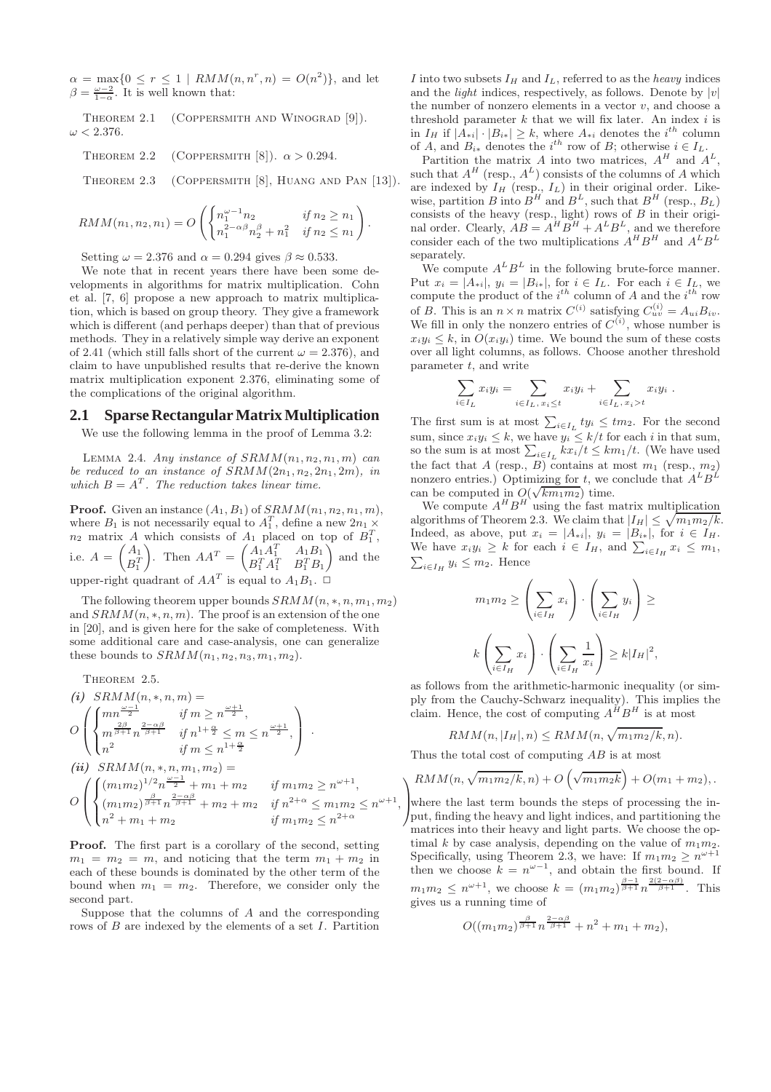$\alpha = \max\{0 \le r \le 1 \mid RMM(n, n^r, n) = O(n^2)\},\$ and let  $\beta = \frac{\omega - 2}{1 - \alpha}$ . It is well known that:

THEOREM 2.1 (COPPERSMITH AND WINOGRAD [9]).  $\omega < 2.376$ .

THEOREM 2.2 (COPPERSMITH [8]). 
$$
\alpha > 0.294
$$
.

Theorem 2.3 (Coppersmith [8], Huang and Pan [13]).

.

$$
RMM(n_1, n_2, n_1) = O\left(\begin{cases} n_1^{\omega - 1} n_2 & \text{if } n_2 \ge n_1 \\ n_1^{2 - \alpha \beta} n_2^{\beta} + n_1^2 & \text{if } n_2 \le n_1 \end{cases}\right)
$$

Setting  $\omega = 2.376$  and  $\alpha = 0.294$  gives  $\beta \approx 0.533$ .

We note that in recent years there have been some developments in algorithms for matrix multiplication. Cohn et al. [7, 6] propose a new approach to matrix multiplication, which is based on group theory. They give a framework which is different (and perhaps deeper) than that of previous methods. They in a relatively simple way derive an exponent of 2.41 (which still falls short of the current  $\omega = 2.376$ ), and claim to have unpublished results that re-derive the known matrix multiplication exponent 2.376, eliminating some of the complications of the original algorithm.

#### **2.1 Sparse Rectangular Matrix Multiplication**

We use the following lemma in the proof of Lemma 3.2:

LEMMA 2.4. Any instance of  $SRMM(n_1, n_2, n_1, m)$  can be reduced to an instance of  $SRMM(2n_1, n_2, 2n_1, 2m)$ , in which  $B = A<sup>T</sup>$ . The reduction takes linear time.

**Proof.** Given an instance  $(A_1, B_1)$  of  $SRMM(n_1, n_2, n_1, m)$ , where  $B_1$  is not necessarily equal to  $A_1^T$ , define a new  $2n_1 \times$  $n_2$  matrix A which consists of  $A_1$  placed on top of  $B_1^T$ , i.e.  $A = \begin{pmatrix} A_1 \\ D^T \end{pmatrix}$  $B_1^T$ ). Then  $AA^T = \begin{pmatrix} A_1A_1^T & A_1B_1 \\ B^T & A^T & B^T B \end{pmatrix}$  $B_1^T A_1^T$   $B_1^T B_1$ « and the upper-right quadrant of  $AA<sup>T</sup>$  is equal to  $A<sub>1</sub>B<sub>1</sub>$ .  $\Box$ 

The following theorem upper bounds  $SRMM(n, *, n, m_1, m_2)$ and  $SRMM(n,*,n,m)$ . The proof is an extension of the one in [20], and is given here for the sake of completeness. With some additional care and case-analysis, one can generalize these bounds to  $SRMM(n_1, n_2, n_3, m_1, m_2)$ .

THEOREM 2.5.  
\n(i) SRMM(n, \*, n, m) =  
\n
$$
O\left(\begin{cases}\nm\frac{\omega-1}{2} & \text{if } m \ge n\frac{\omega+1}{2},\\m^{\frac{2-\alpha}{\beta+1}}n^{\frac{2-\alpha\beta}{\beta+1}} & \text{if } n^{1+\frac{\alpha}{2}} \le m \le n^{\frac{\omega+1}{2}},\\n^2 & \text{if } m \le n^{1+\frac{\alpha}{2}}\n\end{cases}\right).
$$
\n(ii) SRMM(n, \*, n, m<sub>1</sub>, m<sub>2</sub>) =  
\n
$$
O\left(\begin{cases}\n(m_1m_2)^{1/2}n^{\frac{\omega-1}{2}} + m_1 + m_2 & \text{if } m_1m_2 \ge n^{\omega+1},\\(m_1m_2)^{\frac{\beta}{\beta+1}}n^{\frac{2-\alpha\beta}{\beta+1}} + m_2 + m_2 & \text{if } n^{2+\alpha} \le m_1m_2 \le n^{\omega+1}\\n^2 + m_1 + m_2 & \text{if } m_1m_2 \le n^{2+\alpha}\n\end{cases}
$$

Proof. The first part is a corollary of the second, setting  $m_1 = m_2 = m$ , and noticing that the term  $m_1 + m_2$  in each of these bounds is dominated by the other term of the bound when  $m_1 = m_2$ . Therefore, we consider only the second part.

Suppose that the columns of A and the corresponding rows of B are indexed by the elements of a set I. Partition I into two subsets  $I_H$  and  $I_L$ , referred to as the *heavy* indices and the *light* indices, respectively, as follows. Denote by  $|v|$ the number of nonzero elements in a vector  $v$ , and choose a threshold parameter  $k$  that we will fix later. An index  $i$  is in  $I_H$  if  $|A_{*i}| \cdot |B_{i*}| \geq k$ , where  $A_{*i}$  denotes the  $i^{th}$  column of A, and  $B_{i*}$  denotes the  $i^{th}$  row of B; otherwise  $i \in I_L$ .<br>Partition the matrix A into two matrices,  $A^H$  and  $A^L$ ,

such that  $A^H$  (resp.,  $A^L$ ) consists of the columns of A which are indexed by  $I_H$  (resp.,  $I_L$ ) in their original order. Likewise, partition B into  $B^H$  and  $B^L$ , such that  $B^H$  (resp.,  $B_L$ ) consists of the heavy (resp., light) rows of  $B$  in their original order. Clearly,  $AB = A^H B^H + A^L B^L$ , and we therefore consider each of the two multiplications  $A^H B^H$  and  $A^L B^L$ separately.

We compute  $A^L B^L$  in the following brute-force manner. Put  $x_i = \hat{A}_{*i}$ ,  $y_i = \hat{B}_{i*}$ , for  $i \in I_L$ . For each  $i \in I_L$ , we compute the product of the  $i^{th}$  column of A and the  $i^{th}$  row of B. This is an  $n \times n$  matrix  $C^{(i)}$  satisfying  $C^{(i)}_{uv} = A_{ui}B_{iv}$ . We fill in only the nonzero entries of  $C^{(i)}$ , whose number is  $x_i y_i \leq k$ , in  $O(x_i y_i)$  time. We bound the sum of these costs over all light columns, as follows. Choose another threshold parameter  $t$ , and write

$$
\sum_{i \in I_L} x_i y_i = \sum_{i \in I_L, x_i \le t} x_i y_i + \sum_{i \in I_L, x_i > t} x_i y_i.
$$

The first sum is at most  $\sum_{i\in I_L} ty_i \leq tm_2$ . For the second sum, since  $x_i y_i \leq k$ , we have  $y_i \leq k/t$  for each i in that sum, so the sum is at most  $\sum_{i \in I_L} kx_i/t \leq km_1/t$ . (We have used the fact that A (resp., B) contains at most  $m_1$  (resp.,  $m_2$ ) nonzero entries.) Optimizing for t, we conclude that  $A^L B^L$ can be computed in  $O(\sqrt{km_1m_2})$  time.

We compute  $A^H B^H$  using the fast matrix multiplication algorithms of Theorem 2.3. We claim that  $|I_H| \leq \sqrt{m_1 m_2/k}$ . Indeed, as above, put  $x_i = |A_{*i}|$ ,  $y_i = |B_{i*}|$ , for  $i \in I_H$ . We have  $x_i y_i \geq k$  for each  $i \in I_H$ , and  $\sum_{i \in I_H} x_i \leq m_1$ ,  $\sum_{i \in I_H} y_i \leq m_2$ . Hence  $_{i\in I_H} y_i \leq m_2$ . Hence

$$
m_1 m_2 \ge \left(\sum_{i \in I_H} x_i\right) \cdot \left(\sum_{i \in I_H} y_i\right) \ge
$$
  

$$
k \left(\sum_{i \in I_H} x_i\right) \cdot \left(\sum_{i \in I_H} \frac{1}{x_i}\right) \ge k |I_H|^2,
$$

as follows from the arithmetic-harmonic inequality (or simply from the Cauchy-Schwarz inequality). This implies the claim. Hence, the cost of computing  $A^H B^H$  is at most

$$
RMM(n, |I_H|, n) \leq RMM(n, \sqrt{m_1 m_2/k}, n).
$$

Thus the total cost of computing AB is at most

,

$$
\left(\frac{RMM(n,\sqrt{m_1m_2/k},n)+O\left(\sqrt{m_1m_2k}\right)+O(m_1+m_2),\right.\right)
$$

where the last term bounds the steps of processing the in-<br>nut finding the heavy and light indices and partitioning the put, finding the heavy and light indices, and partitioning the matrices into their heavy and light parts. We choose the optimal k by case analysis, depending on the value of  $m_1m_2$ . Specifically, using Theorem 2.3, we have: If  $m_1 m_2 \ge n^{\omega+1}$ then we choose  $k = n^{\omega-1}$ , and obtain the first bound. If  $m_1 m_2 \leq n^{\omega+1}$ , we choose  $k = (m_1 m_2)^{\frac{\beta-1}{\beta+1}} n^{\frac{2(2-\alpha\beta)}{\beta+1}}$ . This gives us a running time of

$$
O((m_1m_2)^{\frac{\beta}{\beta+1}}n^{\frac{2-\alpha\beta}{\beta+1}}+n^2+m_1+m_2),
$$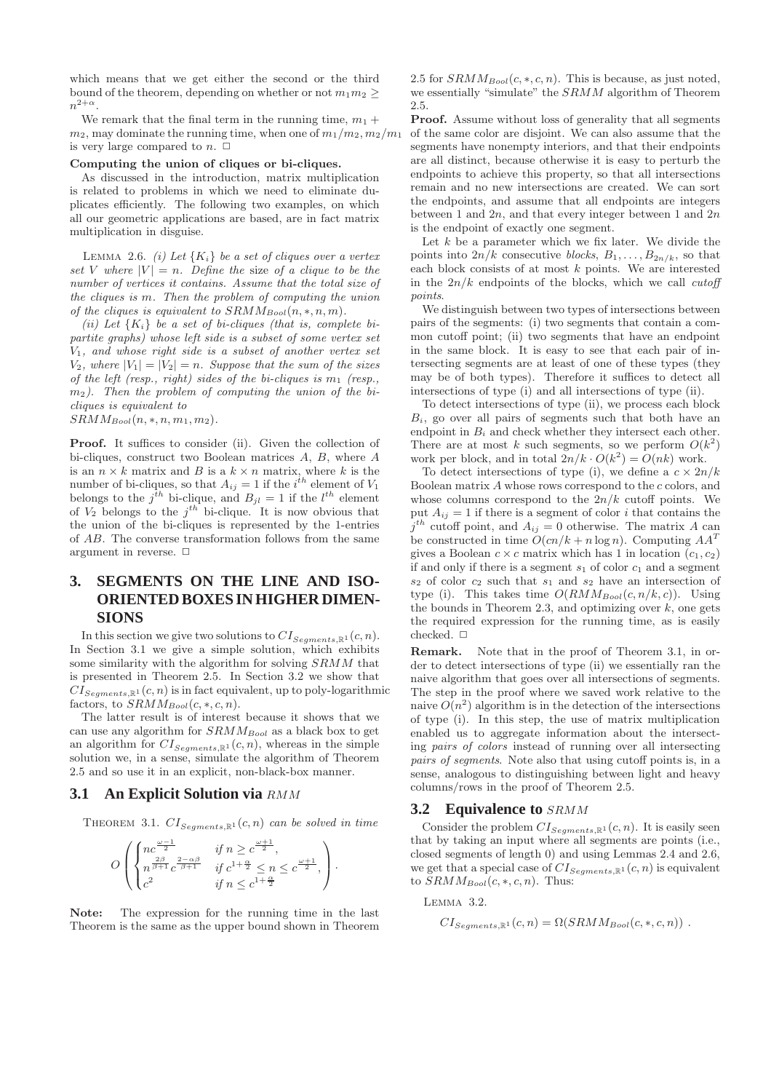which means that we get either the second or the third bound of the theorem, depending on whether or not  $m_1m_2 \geq$  $n^{2+\alpha}$ .

We remark that the final term in the running time,  $m_1 +$  $m_2$ , may dominate the running time, when one of  $m_1/m_2$ ,  $m_2/m_1$ is very large compared to  $n. \Box$ 

#### Computing the union of cliques or bi-cliques.

As discussed in the introduction, matrix multiplication is related to problems in which we need to eliminate duplicates efficiently. The following two examples, on which all our geometric applications are based, are in fact matrix multiplication in disguise.

LEMMA 2.6. *(i)* Let  $\{K_i\}$  be a set of cliques over a vertex set V where  $|V| = n$ . Define the size of a clique to be the number of vertices it contains. Assume that the total size of the cliques is m. Then the problem of computing the union of the cliques is equivalent to  $SRMM_{Bool}(n, *, n, m)$ .

(ii) Let  $\{K_i\}$  be a set of bi-cliques (that is, complete bipartite graphs) whose left side is a subset of some vertex set  $V_1$ , and whose right side is a subset of another vertex set  $V_2$ , where  $|V_1| = |V_2| = n$ . Suppose that the sum of the sizes of the left (resp., right) sides of the bi-cliques is  $m_1$  (resp.,  $m<sub>2</sub>$ ). Then the problem of computing the union of the bicliques is equivalent to

 $SRMM_{Bool}(n, *, n, m_1, m_2).$ 

Proof. It suffices to consider (ii). Given the collection of bi-cliques, construct two Boolean matrices A, B, where A is an  $n \times k$  matrix and B is a  $k \times n$  matrix, where k is the number of bi-cliques, so that  $A_{ij} = 1$  if the  $i^{th}$  element of  $V_1$ belongs to the  $j^{th}$  bi-clique, and  $B_{jl} = 1$  if the  $l^{th}$  element of  $V_2$  belongs to the  $j<sup>th</sup>$  bi-clique. It is now obvious that the union of the bi-cliques is represented by the 1-entries of AB. The converse transformation follows from the same argument in reverse.  $\Box$ 

# **3. SEGMENTS ON THE LINE AND ISO-ORIENTED BOXES IN HIGHER DIMEN-SIONS**

In this section we give two solutions to  $CI_{Segments, \mathbb{R}^1}(c, n)$ . In Section 3.1 we give a simple solution, which exhibits some similarity with the algorithm for solving SRMM that is presented in Theorem 2.5. In Section 3.2 we show that  $CI_{Seaments, \mathbb{R}^1}(c, n)$  is in fact equivalent, up to poly-logarithmic factors, to  $SRMM_{Bool}(c, *, c, n)$ .

The latter result is of interest because it shows that we can use any algorithm for  $SRMM_{Bool}$  as a black box to get an algorithm for  $CI_{Sements, \mathbb{R}^1}(c, n)$ , whereas in the simple solution we, in a sense, simulate the algorithm of Theorem 2.5 and so use it in an explicit, non-black-box manner.

#### **3.1 An Explicit Solution via** RMM

THEOREM 3.1.  $CI_{Sements, \mathbb{R}^1}(c, n)$  can be solved in time

$$
O\left(\begin{cases}nc^{\frac{\omega-1}{2}} & \text{if }n\geq c^{\frac{\omega+1}{2}},\\n^{\frac{2\beta}{\beta+1}}c^{\frac{2-\alpha\beta}{\beta+1}} & \text{if }c^{1+\frac{\alpha}{2}}\leq n\leq c^{\frac{\omega+1}{2}},\\c^2 & \text{if }n\leq c^{1+\frac{\alpha}{2}}\end{cases}\right).
$$

Note: The expression for the running time in the last Theorem is the same as the upper bound shown in Theorem 2.5 for  $SRMM_{Bool}(c, *, c, n)$ . This is because, as just noted, we essentially "simulate" the SRMM algorithm of Theorem 2.5.

Proof. Assume without loss of generality that all segments of the same color are disjoint. We can also assume that the segments have nonempty interiors, and that their endpoints are all distinct, because otherwise it is easy to perturb the endpoints to achieve this property, so that all intersections remain and no new intersections are created. We can sort the endpoints, and assume that all endpoints are integers between 1 and  $2n$ , and that every integer between 1 and  $2n$ is the endpoint of exactly one segment.

Let  $k$  be a parameter which we fix later. We divide the points into  $2n/k$  consecutive blocks,  $B_1, \ldots, B_{2n/k}$ , so that each block consists of at most  $k$  points. We are interested in the  $2n/k$  endpoints of the blocks, which we call *cutoff* points.

We distinguish between two types of intersections between pairs of the segments: (i) two segments that contain a common cutoff point; (ii) two segments that have an endpoint in the same block. It is easy to see that each pair of intersecting segments are at least of one of these types (they may be of both types). Therefore it suffices to detect all intersections of type (i) and all intersections of type (ii).

To detect intersections of type (ii), we process each block  $B_i$ , go over all pairs of segments such that both have an endpoint in  $B_i$  and check whether they intersect each other. There are at most k such segments, so we perform  $O(k^2)$ work per block, and in total  $2n/k \cdot O(k^2) = O(nk)$  work.

To detect intersections of type (i), we define a  $c \times 2n/k$ Boolean matrix  $A$  whose rows correspond to the  $c$  colors, and whose columns correspond to the  $2n/k$  cutoff points. We put  $A_{ij} = 1$  if there is a segment of color i that contains the  $j<sup>th</sup>$  cutoff point, and  $A_{ij} = 0$  otherwise. The matrix A can be constructed in time  $O(cn/k + n \log n)$ . Computing  $AA^T$ gives a Boolean  $c \times c$  matrix which has 1 in location  $(c_1, c_2)$ if and only if there is a segment  $s_1$  of color  $c_1$  and a segment  $s_2$  of color  $c_2$  such that  $s_1$  and  $s_2$  have an intersection of type (i). This takes time  $O(RMM_{Bool}(c, n/k, c))$ . Using the bounds in Theorem 2.3, and optimizing over  $k$ , one gets the required expression for the running time, as is easily checked.  $\Box$ 

Remark. Note that in the proof of Theorem 3.1, in order to detect intersections of type (ii) we essentially ran the naive algorithm that goes over all intersections of segments. The step in the proof where we saved work relative to the naive  $O(n^2)$  algorithm is in the detection of the intersections of type (i). In this step, the use of matrix multiplication enabled us to aggregate information about the intersecting pairs of colors instead of running over all intersecting pairs of segments. Note also that using cutoff points is, in a sense, analogous to distinguishing between light and heavy columns/rows in the proof of Theorem 2.5.

#### **3.2 Equivalence to** SRMM

Consider the problem  $CI_{Segments, \mathbb{R}^1}(c, n)$ . It is easily seen that by taking an input where all segments are points (i.e., closed segments of length 0) and using Lemmas 2.4 and 2.6, we get that a special case of  $CI_{Segments, \mathbb{R}^1}(c, n)$  is equivalent to  $SRMM_{Bool}(c, *, c, n)$ . Thus:

LEMMA 3.2.

 $CI_{Seaments, \mathbb{R}^1}(c, n) = \Omega(SRMM_{Bool}(c, *, c, n))$ .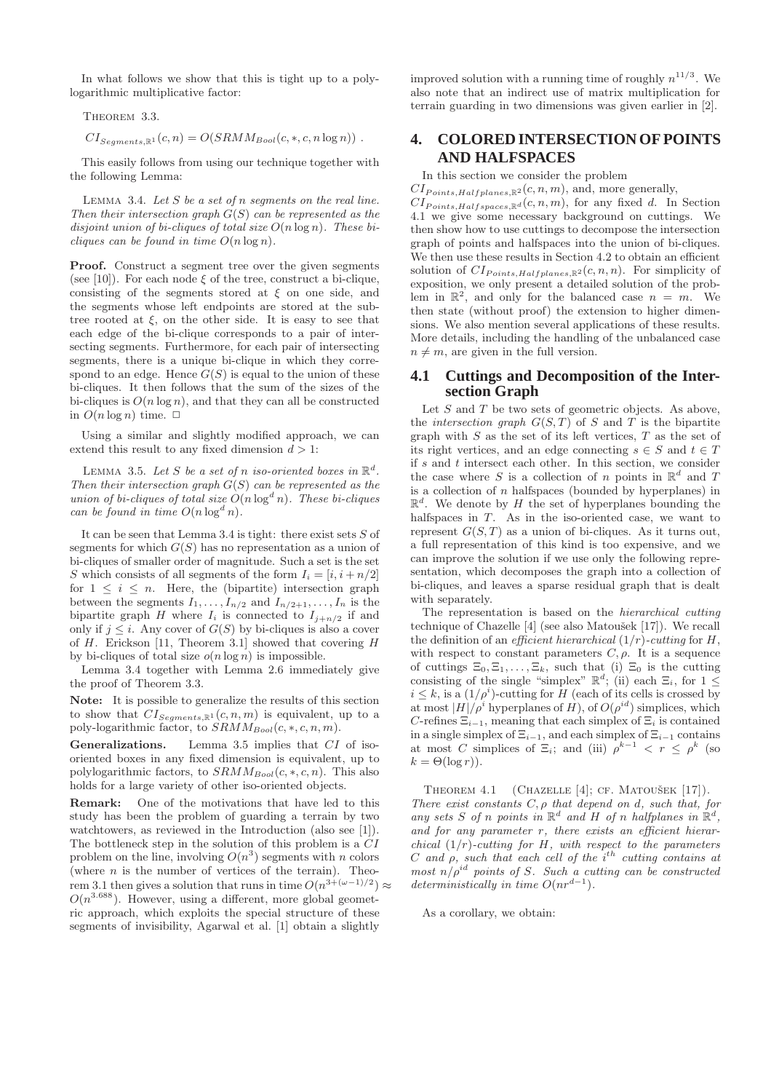In what follows we show that this is tight up to a polylogarithmic multiplicative factor:

THEOREM 3.3.

 $CI_{Seaments, \mathbb{R}^1}(c, n) = O(SRMM_{Bool}(c, *, c, n \log n))$ .

This easily follows from using our technique together with the following Lemma:

LEMMA 3.4. Let  $S$  be a set of  $n$  segments on the real line. Then their intersection graph  $G(S)$  can be represented as the disjoint union of bi-cliques of total size  $O(n \log n)$ . These bicliques can be found in time  $O(n \log n)$ .

Proof. Construct a segment tree over the given segments (see [10]). For each node  $\xi$  of the tree, construct a bi-clique, consisting of the segments stored at  $\xi$  on one side, and the segments whose left endpoints are stored at the subtree rooted at  $\xi$ , on the other side. It is easy to see that each edge of the bi-clique corresponds to a pair of intersecting segments. Furthermore, for each pair of intersecting segments, there is a unique bi-clique in which they correspond to an edge. Hence  $G(S)$  is equal to the union of these bi-cliques. It then follows that the sum of the sizes of the bi-cliques is  $O(n \log n)$ , and that they can all be constructed in  $O(n \log n)$  time.  $\Box$ 

Using a similar and slightly modified approach, we can extend this result to any fixed dimension  $d > 1$ :

LEMMA 3.5. Let S be a set of n iso-oriented boxes in  $\mathbb{R}^d$ . Then their intersection graph  $G(S)$  can be represented as the union of bi-cliques of total size  $O(n \log^d n)$ . These bi-cliques can be found in time  $O(n \log^d n)$ .

It can be seen that Lemma 3.4 is tight: there exist sets  $S$  of segments for which  $G(S)$  has no representation as a union of bi-cliques of smaller order of magnitude. Such a set is the set S which consists of all segments of the form  $I_i = [i, i + n/2]$ for  $1 \leq i \leq n$ . Here, the (bipartite) intersection graph between the segments  $I_1, \ldots, I_{n/2}$  and  $I_{n/2+1}, \ldots, I_n$  is the bipartite graph H where  $I_i$  is connected to  $I_{j+n/2}$  if and only if  $j \leq i$ . Any cover of  $G(S)$  by bi-cliques is also a cover of  $H$ . Erickson [11, Theorem 3.1] showed that covering  $H$ by bi-cliques of total size  $o(n \log n)$  is impossible.

Lemma 3.4 together with Lemma 2.6 immediately give the proof of Theorem 3.3.

Note: It is possible to generalize the results of this section to show that  $CI_{Segments,\mathbb{R}^1}(c, n, m)$  is equivalent, up to a

poly-logarithmic factor, to  $SRMM_{Bool}(c, *, c, n, m)$ .<br>Generalizations. Lemma 3.5 implies that  $CI$ Lemma 3.5 implies that  $CI$  of isooriented boxes in any fixed dimension is equivalent, up to polylogarithmic factors, to  $SRMM_{Bool}(c, *, c, n)$ . This also holds for a large variety of other iso-oriented objects.

Remark: One of the motivations that have led to this study has been the problem of guarding a terrain by two watchtowers, as reviewed in the Introduction (also see [1]). The bottleneck step in the solution of this problem is a CI problem on the line, involving  $O(n^3)$  segments with n colors (where  $n$  is the number of vertices of the terrain). Theorem 3.1 then gives a solution that runs in time  $O(n^{3+(\omega-1)/2}) \approx$  $O(n^{3.688})$ . However, using a different, more global geometric approach, which exploits the special structure of these segments of invisibility, Agarwal et al. [1] obtain a slightly

improved solution with a running time of roughly  $n^{11/3}$ . We also note that an indirect use of matrix multiplication for terrain guarding in two dimensions was given earlier in [2].

# **4. COLORED INTERSECTION OF POINTS AND HALFSPACES**

In this section we consider the problem

 $CI_{Points, Halfplanes, \mathbb{R}^2}(c, n, m)$ , and, more generally,  $CI_{Points, Halfspaces, \mathbb{R}^d}(c, n, m)$ , for any fixed d. In Section 4.1 we give some necessary background on cuttings. We then show how to use cuttings to decompose the intersection graph of points and halfspaces into the union of bi-cliques. We then use these results in Section 4.2 to obtain an efficient solution of  $CI_{Points,Halfplanes, \mathbb{R}^2}(c, n, n)$ . For simplicity of exposition, we only present a detailed solution of the problem in  $\mathbb{R}^2$ , and only for the balanced case  $n = m$ . We then state (without proof) the extension to higher dimensions. We also mention several applications of these results. More details, including the handling of the unbalanced case  $n \neq m$ , are given in the full version.

#### **4.1 Cuttings and Decomposition of the Intersection Graph**

Let  $S$  and  $T$  be two sets of geometric objects. As above, the *intersection graph*  $G(S, T)$  of S and T is the bipartite graph with  $S$  as the set of its left vertices,  $T$  as the set of its right vertices, and an edge connecting  $s \in S$  and  $t \in T$ if  $s$  and  $t$  intersect each other. In this section, we consider the case where S is a collection of n points in  $\mathbb{R}^d$  and T is a collection of  $n$  halfspaces (bounded by hyperplanes) in  $\mathbb{R}^d$ . We denote by H the set of hyperplanes bounding the halfspaces in  $T$ . As in the iso-oriented case, we want to represent  $G(S,T)$  as a union of bi-cliques. As it turns out, a full representation of this kind is too expensive, and we can improve the solution if we use only the following representation, which decomposes the graph into a collection of bi-cliques, and leaves a sparse residual graph that is dealt with separately.

The representation is based on the hierarchical cutting technique of Chazelle [4] (see also Matoušek [17]). We recall the definition of an *efficient hierarchical*  $(1/r)$ -cutting for H, with respect to constant parameters  $C, \rho$ . It is a sequence of cuttings  $\Xi_0, \Xi_1, \ldots, \Xi_k$ , such that (i)  $\Xi_0$  is the cutting consisting of the single "simplex"  $\mathbb{R}^d$ ; (ii) each  $\Xi_i$ , for  $1 \leq$  $i \leq k$ , is a  $(1/\rho^i)$ -cutting for H (each of its cells is crossed by at most  $|H|/\rho^i$  hyperplanes of H), of  $O(\rho^{id})$  simplices, which C-refines  $\Xi_{i-1}$ , meaning that each simplex of  $\Xi_i$  is contained in a single simplex of  $\Xi_{i-1}$ , and each simplex of  $\Xi_{i-1}$  contains at most C simplices of  $\Xi_i$ ; and (iii)  $\rho^{k-1} < r \le \rho^k$  (so  $k = \Theta(\log r)$ ).

THEOREM 4.1 (CHAZELLE [4]; CF. MATOUŠEK [17]). There exist constants  $C, \rho$  that depend on d, such that, for any sets S of n points in  $\mathbb{R}^d$  and H of n halfplanes in  $\mathbb{R}^d$ , and for any parameter  $r$ , there exists an efficient hierarchical  $(1/r)$ -cutting for H, with respect to the parameters C and  $\rho$ , such that each cell of the i<sup>th</sup> cutting contains at most  $n/\rho^{id}$  points of S. Such a cutting can be constructed deterministically in time  $O(nr^{d-1})$ .

As a corollary, we obtain: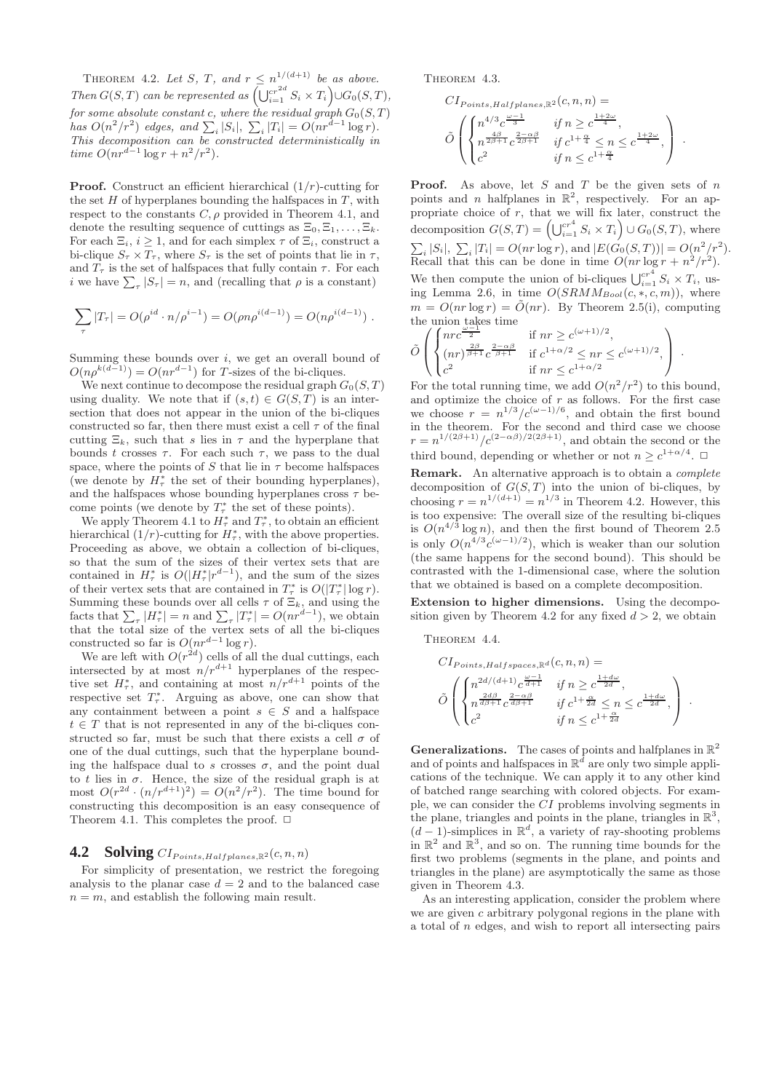THEOREM 4.2. Let S, T, and  $r \leq n^{1/(d+1)}$  be as above. Then  $G(S,T)$  can be represented as  $\left(\bigcup_{i=1}^{cr^{2d}} S_i \times T_i\right) \cup G_0(S,T)$ , for some absolute constant  $c,$  where the residual graph  $G_0(S,T)$ has  $O(n^2/r^2)$  edges, and  $\sum_i |S_i|$ ,  $\sum_i |T_i| = O(nr^{d-1}\log r)$ . This decomposition can be constructed deterministically in time  $O(nr^{d-1}\log r + n^2/r^2)$ .

**Proof.** Construct an efficient hierarchical  $(1/r)$ -cutting for the set  $H$  of hyperplanes bounding the halfspaces in  $T$ , with respect to the constants  $C, \rho$  provided in Theorem 4.1, and denote the resulting sequence of cuttings as  $\Xi_0, \Xi_1, \ldots, \Xi_k$ . For each  $\Xi_i$ ,  $i \geq 1$ , and for each simplex  $\tau$  of  $\Xi_i$ , construct a bi-clique  $S_{\tau} \times T_{\tau}$ , where  $S_{\tau}$  is the set of points that lie in  $\tau$ , and  $T_{\tau}$  is the set of halfspaces that fully contain  $\tau$ . For each *i* we have  $\sum_{\tau} |S_{\tau}| = n$ , and (recalling that  $\rho$  is a constant)

$$
\sum_{\tau} |T_{\tau}| = O(\rho^{id} \cdot n/\rho^{i-1}) = O(\rho n \rho^{i(d-1)}) = O(n \rho^{i(d-1)}) .
$$

Summing these bounds over  $i$ , we get an overall bound of  $O(n\rho^{k(d-1)}) = O(nr^{d-1})$  for T-sizes of the bi-cliques.

We next continue to decompose the residual graph  $G_0(S,T)$ using duality. We note that if  $(s, t) \in G(S, T)$  is an intersection that does not appear in the union of the bi-cliques constructed so far, then there must exist a cell  $\tau$  of the final cutting  $\Xi_k$ , such that s lies in  $\tau$  and the hyperplane that bounds t crosses  $\tau$ . For each such  $\tau$ , we pass to the dual space, where the points of S that lie in  $\tau$  become halfspaces (we denote by  $H^*_{\tau}$  the set of their bounding hyperplanes), and the halfspaces whose bounding hyperplanes cross  $\tau$  become points (we denote by  $T^*_{\tau}$  the set of these points).

We apply Theorem 4.1 to  $H^*_{\tau}$  and  $T^*_{\tau}$ , to obtain an efficient hierarchical  $(1/r)$ -cutting for  $H^*_{\tau}$ , with the above properties. Proceeding as above, we obtain a collection of bi-cliques, so that the sum of the sizes of their vertex sets that are contained in  $H^*_{\tau}$  is  $O(|H^*_{\tau}|r^{d-1})$ , and the sum of the sizes of their vertex sets that are contained in  $T^*$  is  $O(|T^*_{\tau}| \log r)$ . Summing these bounds over all cells  $\tau$  of  $\Xi_k$ , and using the facts that  $\sum_{\tau} |H_{\tau}^*| = n$  and  $\sum_{\tau} |T_{\tau}^*| = O(nr^{d-1})$ , we obtain that the total size of the vertex sets of all the bi-cliques constructed so far is  $O(nr^{d-1}\log r)$ .

We are left with  $O(r^{2d})$  cells of all the dual cuttings, each intersected by at most  $n/r^{d+1}$  hyperplanes of the respective set  $H^*_{\tau}$ , and containing at most  $n/r^{d+1}$  points of the respective set  $T^*_\tau$ . Arguing as above, one can show that any containment between a point  $s \in S$  and a halfspace  $t \in T$  that is not represented in any of the bi-cliques constructed so far, must be such that there exists a cell  $\sigma$  of one of the dual cuttings, such that the hyperplane bounding the halfspace dual to s crosses  $\sigma$ , and the point dual to t lies in  $\sigma$ . Hence, the size of the residual graph is at most  $O(r^{2d} \cdot (n/r^{d+1})^2) = O(n^2/r^2)$ . The time bound for constructing this decomposition is an easy consequence of Theorem 4.1. This completes the proof.  $\Box$ 

# **4.2** Solving  $CI_{Points, Halfplanes, \mathbb{R}^2}(c, n, n)$

For simplicity of presentation, we restrict the foregoing analysis to the planar case  $d = 2$  and to the balanced case  $n = m$ , and establish the following main result.

THEOREM 4.3.

$$
CI_{Points, Halfplanes, \mathbb{R}^2}(c, n, n) =
$$
  
\n
$$
\tilde{O}\left(\begin{cases}\nn^{4/3}c^{\frac{\omega - 1}{3}} & \text{if } n \geq c^{\frac{1+2\omega}{4}}, \\
n^{\frac{4\beta}{2\beta + 1}}c^{\frac{2-\alpha\beta}{2\beta + 1}} & \text{if } c^{1+\frac{\alpha}{4}} \leq n \leq c^{\frac{1+2\omega}{4}}, \\
c^2 & \text{if } n \leq c^{1+\frac{\alpha}{4}}\n\end{cases}\right) .
$$

**Proof.** As above, let  $S$  and  $T$  be the given sets of  $n$ points and *n* halfplanes in  $\mathbb{R}^2$ , respectively. For an appropriate choice of  $r$ , that we will fix later, construct the decomposition  $G(S,T) = \left(\bigcup_{i=1}^{c r^4} S_i \times T_i\right) \cup G_0(S,T)$ , where  $\sum_{i} |S_i|, \sum_{i} |T_i| = O(nr \log r),$  and  $|E(G_0(S,T))| = O(n^2/r^2).$ Recall that this can be done in time  $O(nr \log r + n^2/r^2)$ . We then compute the union of bi-cliques  $\bigcup_{i=1}^{cr^4} S_i \times T_i$ , using Lemma 2.6, in time  $O(SRMM_{Bool}(c, *, c, m))$ , where  $m = O(nr \log r) = \tilde{O}(nr)$ . By Theorem 2.5(i), computing the union takes time

$$
\tilde{O}\left(\begin{cases}\nnr c^{\frac{\omega-1}{2}} & \text{if } nr \geq c^{(\omega+1)/2}, \\
(nr)^{\frac{2\beta}{\beta+1}} c^{\frac{2-\alpha\beta}{\beta+1}} & \text{if } c^{1+\alpha/2} \leq nr \leq c^{(\omega+1)/2}, \\
c^2 & \text{if } nr \leq c^{1+\alpha/2}\n\end{cases}\right).
$$

For the total running time, we add  $O(n^2/r^2)$  to this bound, and optimize the choice of  $r$  as follows. For the first case we choose  $r = n^{1/3}/c^{(\omega - 1)/6}$ , and obtain the first bound in the theorem. For the second and third case we choose  $r = n^{1/(2\beta+1)}/c^{(2-\alpha\beta)/2(2\beta+1)}$ , and obtain the second or the third bound, depending or whether or not  $n \geq c^{1+\alpha/4}$ .  $\Box$ 

Remark. An alternative approach is to obtain a *complete* decomposition of  $G(S, T)$  into the union of bi-cliques, by choosing  $r = n^{1/(d+1)} = n^{1/3}$  in Theorem 4.2. However, this is too expensive: The overall size of the resulting bi-cliques is  $O(n^{4/3} \log n)$ , and then the first bound of Theorem 2.5 is only  $O(n^{4/3}c^{(\omega-1)/2})$ , which is weaker than our solution (the same happens for the second bound). This should be contrasted with the 1-dimensional case, where the solution that we obtained is based on a complete decomposition.

Extension to higher dimensions. Using the decomposition given by Theorem 4.2 for any fixed  $d > 2$ , we obtain

THEOREM 4.4.

$$
CI_{Points, Halfspaces, \mathbb{R}^d}(c, n, n) =
$$
\n
$$
\tilde{O}\left(\begin{cases}\nn^{2d/(d+1)}c^{\frac{\omega-1}{d+1}} & \text{if } n \geq c^{\frac{1+d\omega}{2d}}, \\
n^{\frac{2d\beta}{d+1}}c^{\frac{2-\alpha\beta}{d+1}} & \text{if } c^{1+\frac{\alpha}{2d}} \leq n \leq c^{\frac{1+d\omega}{2d}}, \\
c^2 & \text{if } n \leq c^{1+\frac{\alpha}{2d}}\n\end{cases}\right) .
$$

**Generalizations.** The cases of points and halfplanes in  $\mathbb{R}^2$ and of points and halfspaces in  $\mathbb{R}^d$  are only two simple applications of the technique. We can apply it to any other kind of batched range searching with colored objects. For example, we can consider the CI problems involving segments in the plane, triangles and points in the plane, triangles in  $\mathbb{R}^3$ ,  $(d-1)$ -simplices in  $\mathbb{R}^d$ , a variety of ray-shooting problems in  $\mathbb{R}^2$  and  $\mathbb{R}^3$ , and so on. The running time bounds for the first two problems (segments in the plane, and points and triangles in the plane) are asymptotically the same as those given in Theorem 4.3.

As an interesting application, consider the problem where we are given  $c$  arbitrary polygonal regions in the plane with a total of n edges, and wish to report all intersecting pairs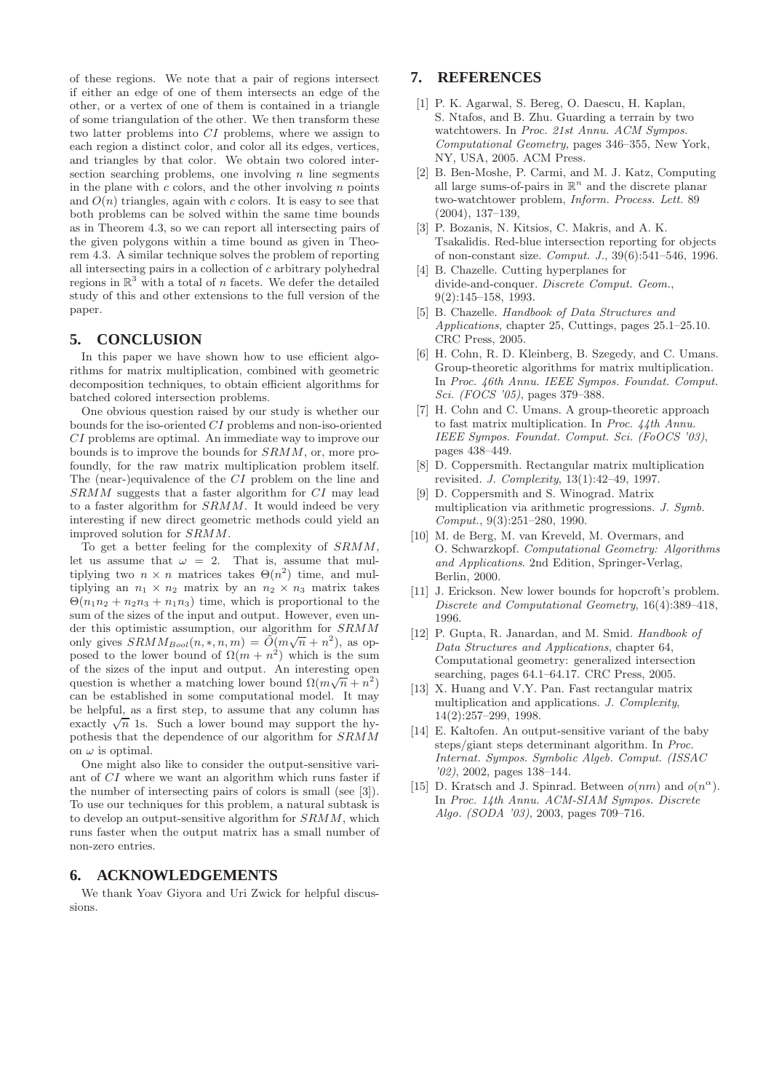of these regions. We note that a pair of regions intersect if either an edge of one of them intersects an edge of the other, or a vertex of one of them is contained in a triangle of some triangulation of the other. We then transform these two latter problems into CI problems, where we assign to each region a distinct color, and color all its edges, vertices, and triangles by that color. We obtain two colored intersection searching problems, one involving  $n$  line segments in the plane with  $c$  colors, and the other involving  $n$  points and  $O(n)$  triangles, again with c colors. It is easy to see that both problems can be solved within the same time bounds as in Theorem 4.3, so we can report all intersecting pairs of the given polygons within a time bound as given in Theorem 4.3. A similar technique solves the problem of reporting all intersecting pairs in a collection of c arbitrary polyhedral regions in  $\mathbb{R}^3$  with a total of *n* facets. We defer the detailed study of this and other extensions to the full version of the paper.

# **5. CONCLUSION**

In this paper we have shown how to use efficient algorithms for matrix multiplication, combined with geometric decomposition techniques, to obtain efficient algorithms for batched colored intersection problems.

One obvious question raised by our study is whether our bounds for the iso-oriented CI problems and non-iso-oriented CI problems are optimal. An immediate way to improve our bounds is to improve the bounds for SRMM, or, more profoundly, for the raw matrix multiplication problem itself. The (near-)equivalence of the CI problem on the line and SRMM suggests that a faster algorithm for CI may lead to a faster algorithm for SRMM. It would indeed be very interesting if new direct geometric methods could yield an improved solution for SRMM.

To get a better feeling for the complexity of SRMM, let us assume that  $\omega = 2$ . That is, assume that multiplying two  $n \times n$  matrices takes  $\Theta(n^2)$  time, and multiplying an  $n_1 \times n_2$  matrix by an  $n_2 \times n_3$  matrix takes  $\Theta(n_1n_2 + n_2n_3 + n_1n_3)$  time, which is proportional to the sum of the sizes of the input and output. However, even under this optimistic assumption, our algorithm for SRMM only gives  $SRMM_{Bool}(n, *, n, m) = \tilde{O}(m\sqrt{n} + n^2)$ , as opposed to the lower bound of  $\Omega(m + n^2)$  which is the sum of the sizes of the input and output. An interesting open question is whether a matching lower bound  $\Omega(m\sqrt{n}+n^2)$ can be established in some computational model. It may be helpful, as a first step, to assume that any column has exactly  $\sqrt{n}$  1s. Such a lower bound may support the hypothesis that the dependence of our algorithm for SRMM on  $\omega$  is optimal.

One might also like to consider the output-sensitive variant of CI where we want an algorithm which runs faster if the number of intersecting pairs of colors is small (see [3]). To use our techniques for this problem, a natural subtask is to develop an output-sensitive algorithm for SRMM, which runs faster when the output matrix has a small number of non-zero entries.

# **6. ACKNOWLEDGEMENTS**

We thank Yoav Giyora and Uri Zwick for helpful discussions.

# **7. REFERENCES**

- [1] P. K. Agarwal, S. Bereg, O. Daescu, H. Kaplan, S. Ntafos, and B. Zhu. Guarding a terrain by two watchtowers. In Proc. 21st Annu. ACM Sympos. Computational Geometry, pages 346–355, New York, NY, USA, 2005. ACM Press.
- [2] B. Ben-Moshe, P. Carmi, and M. J. Katz, Computing all large sums-of-pairs in  $\mathbb{R}^n$  and the discrete planar two-watchtower problem, Inform. Process. Lett. 89 (2004), 137–139,
- [3] P. Bozanis, N. Kitsios, C. Makris, and A. K. Tsakalidis. Red-blue intersection reporting for objects of non-constant size. Comput. J., 39(6):541–546, 1996.
- [4] B. Chazelle. Cutting hyperplanes for divide-and-conquer. Discrete Comput. Geom., 9(2):145–158, 1993.
- [5] B. Chazelle. Handbook of Data Structures and Applications, chapter 25, Cuttings, pages 25.1–25.10. CRC Press, 2005.
- [6] H. Cohn, R. D. Kleinberg, B. Szegedy, and C. Umans. Group-theoretic algorithms for matrix multiplication. In Proc. 46th Annu. IEEE Sympos. Foundat. Comput. Sci. (FOCS '05), pages 379–388.
- [7] H. Cohn and C. Umans. A group-theoretic approach to fast matrix multiplication. In Proc. 44th Annu. IEEE Sympos. Foundat. Comput. Sci. (FoOCS '03), pages 438–449.
- [8] D. Coppersmith. Rectangular matrix multiplication revisited. J. Complexity, 13(1):42–49, 1997.
- [9] D. Coppersmith and S. Winograd. Matrix multiplication via arithmetic progressions. J. Symb. Comput., 9(3):251–280, 1990.
- [10] M. de Berg, M. van Kreveld, M. Overmars, and O. Schwarzkopf. Computational Geometry: Algorithms and Applications. 2nd Edition, Springer-Verlag, Berlin, 2000.
- [11] J. Erickson. New lower bounds for hopcroft's problem. Discrete and Computational Geometry, 16(4):389–418, 1996.
- [12] P. Gupta, R. Janardan, and M. Smid. Handbook of Data Structures and Applications, chapter 64, Computational geometry: generalized intersection searching, pages 64.1–64.17. CRC Press, 2005.
- [13] X. Huang and V.Y. Pan. Fast rectangular matrix multiplication and applications. J. Complexity, 14(2):257–299, 1998.
- [14] E. Kaltofen. An output-sensitive variant of the baby steps/giant steps determinant algorithm. In Proc. Internat. Sympos. Symbolic Algeb. Comput. (ISSAC '02), 2002, pages 138–144.
- [15] D. Kratsch and J. Spinrad. Between  $o(nm)$  and  $o(n^{\alpha})$ . In Proc. 14th Annu. ACM-SIAM Sympos. Discrete Algo. (SODA '03), 2003, pages 709–716.